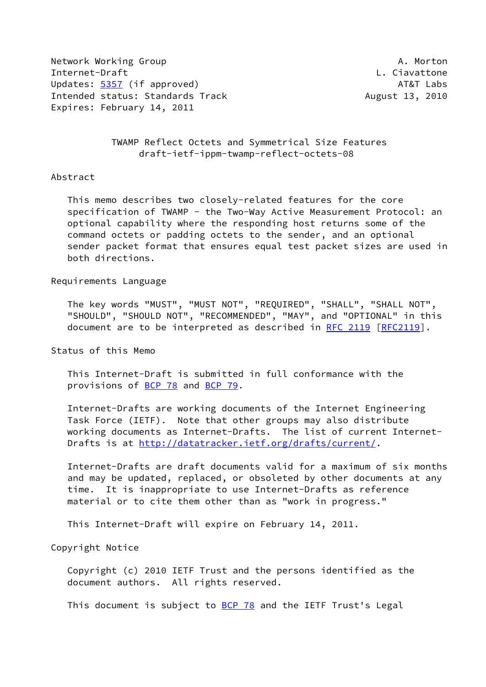Network Working Group **A. Morton** A. Morton Internet-Draft L. Ciavattone Updates: [5357](https://datatracker.ietf.org/doc/pdf/rfc5357) (if approved) AT&T Labs Intended status: Standards Track August 13, 2010 Expires: February 14, 2011

 TWAMP Reflect Octets and Symmetrical Size Features draft-ietf-ippm-twamp-reflect-octets-08

# Abstract

 This memo describes two closely-related features for the core specification of TWAMP - the Two-Way Active Measurement Protocol: an optional capability where the responding host returns some of the command octets or padding octets to the sender, and an optional sender packet format that ensures equal test packet sizes are used in both directions.

#### Requirements Language

 The key words "MUST", "MUST NOT", "REQUIRED", "SHALL", "SHALL NOT", "SHOULD", "SHOULD NOT", "RECOMMENDED", "MAY", and "OPTIONAL" in this document are to be interpreted as described in [RFC 2119 \[RFC2119](https://datatracker.ietf.org/doc/pdf/rfc2119)].

Status of this Memo

 This Internet-Draft is submitted in full conformance with the provisions of [BCP 78](https://datatracker.ietf.org/doc/pdf/bcp78) and [BCP 79](https://datatracker.ietf.org/doc/pdf/bcp79).

 Internet-Drafts are working documents of the Internet Engineering Task Force (IETF). Note that other groups may also distribute working documents as Internet-Drafts. The list of current Internet Drafts is at<http://datatracker.ietf.org/drafts/current/>.

 Internet-Drafts are draft documents valid for a maximum of six months and may be updated, replaced, or obsoleted by other documents at any time. It is inappropriate to use Internet-Drafts as reference material or to cite them other than as "work in progress."

This Internet-Draft will expire on February 14, 2011.

Copyright Notice

 Copyright (c) 2010 IETF Trust and the persons identified as the document authors. All rights reserved.

This document is subject to **[BCP 78](https://datatracker.ietf.org/doc/pdf/bcp78)** and the IETF Trust's Legal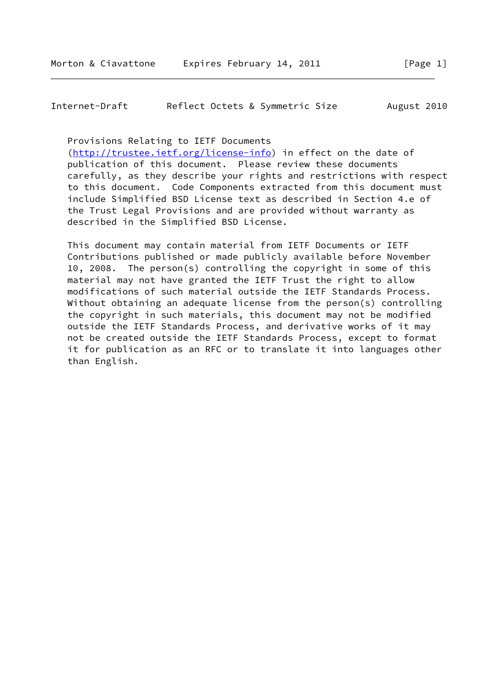Internet-Draft Reflect Octets & Symmetric Size August 2010

Provisions Relating to IETF Documents

 [\(http://trustee.ietf.org/license-info](http://trustee.ietf.org/license-info)) in effect on the date of publication of this document. Please review these documents carefully, as they describe your rights and restrictions with respect to this document. Code Components extracted from this document must include Simplified BSD License text as described in Section 4.e of the Trust Legal Provisions and are provided without warranty as described in the Simplified BSD License.

 This document may contain material from IETF Documents or IETF Contributions published or made publicly available before November 10, 2008. The person(s) controlling the copyright in some of this material may not have granted the IETF Trust the right to allow modifications of such material outside the IETF Standards Process. Without obtaining an adequate license from the person(s) controlling the copyright in such materials, this document may not be modified outside the IETF Standards Process, and derivative works of it may not be created outside the IETF Standards Process, except to format it for publication as an RFC or to translate it into languages other than English.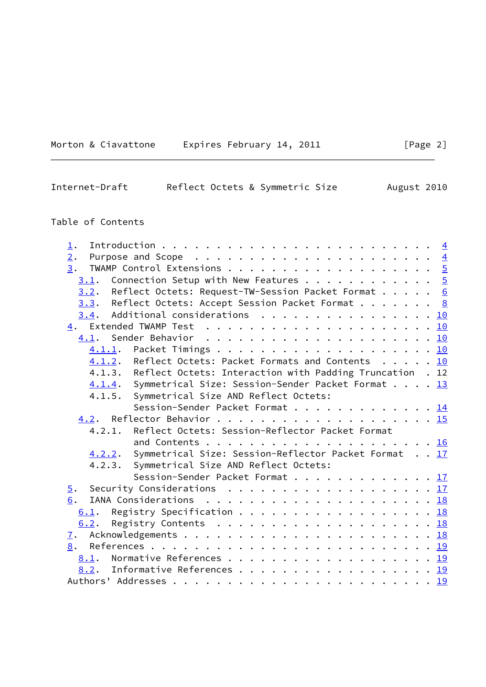| Expires February 14, 2011<br>Morton & Ciavattone |  |  |
|--------------------------------------------------|--|--|
|--------------------------------------------------|--|--|

Internet-Draft Reflect Octets & Symmetric Size August 2010

# Table of Contents

| $\perp$ .                                                              |  |
|------------------------------------------------------------------------|--|
| 2.                                                                     |  |
| 3.                                                                     |  |
| Connection Setup with New Features $5$<br>3.1.                         |  |
| $3.2$ . Reflect Octets: Request-TW-Session Packet Format 6             |  |
| $3.3$ . Reflect Octets: Accept Session Packet Format 8                 |  |
| $3.4$ . Additional considerations 10                                   |  |
|                                                                        |  |
|                                                                        |  |
|                                                                        |  |
| 4.1.2. Reflect Octets: Packet Formats and Contents 10                  |  |
| 4.1.3. Reflect Octets: Interaction with Padding Truncation . 12        |  |
| 4.1.4. Symmetrical Size: Session-Sender Packet Format 13               |  |
| Symmetrical Size AND Reflect Octets:<br>4.1.5.                         |  |
| Session-Sender Packet Format 14                                        |  |
|                                                                        |  |
| Reflect Octets: Session-Reflector Packet Format<br>4.2.1.              |  |
|                                                                        |  |
| Symmetrical Size: Session-Reflector Packet Format 17<br><u>4.2.2</u> . |  |
| 4.2.3. Symmetrical Size AND Reflect Octets:                            |  |
| Session-Sender Packet Format 17                                        |  |
| Security Considerations 17<br>$\overline{5}$ .                         |  |
| 6.                                                                     |  |
| Registry Specification 18<br>6.1.                                      |  |
| 6.2.                                                                   |  |
| 7.                                                                     |  |
| 8.                                                                     |  |
| 8.1. Normative References 19                                           |  |
| 8.2. Informative References 19                                         |  |
|                                                                        |  |
|                                                                        |  |

 $[Page 2]$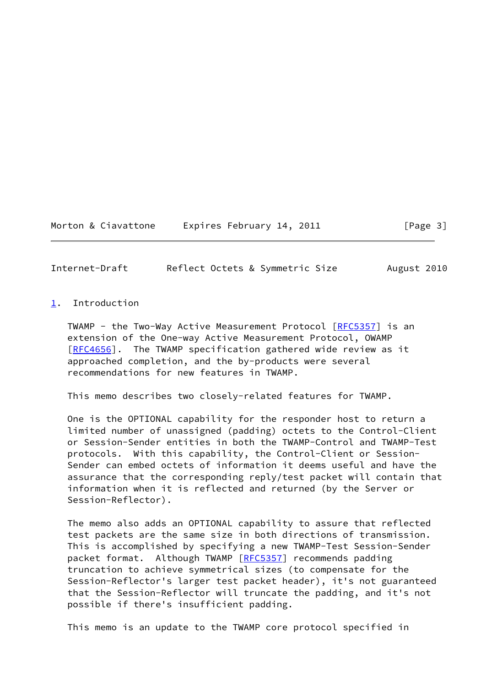Morton & Ciavattone Expires February 14, 2011 [Page 3]

<span id="page-3-1"></span>Internet-Draft Reflect Octets & Symmetric Size August 2010

# <span id="page-3-0"></span>[1](#page-3-0). Introduction

TWAMP - the Two-Way Active Measurement Protocol [\[RFC5357](https://datatracker.ietf.org/doc/pdf/rfc5357)] is an extension of the One-way Active Measurement Protocol, OWAMP [\[RFC4656](https://datatracker.ietf.org/doc/pdf/rfc4656)]. The TWAMP specification gathered wide review as it approached completion, and the by-products were several recommendations for new features in TWAMP.

This memo describes two closely-related features for TWAMP.

 One is the OPTIONAL capability for the responder host to return a limited number of unassigned (padding) octets to the Control-Client or Session-Sender entities in both the TWAMP-Control and TWAMP-Test protocols. With this capability, the Control-Client or Session- Sender can embed octets of information it deems useful and have the assurance that the corresponding reply/test packet will contain that information when it is reflected and returned (by the Server or Session-Reflector).

 The memo also adds an OPTIONAL capability to assure that reflected test packets are the same size in both directions of transmission. This is accomplished by specifying a new TWAMP-Test Session-Sender packet format. Although TWAMP [\[RFC5357](https://datatracker.ietf.org/doc/pdf/rfc5357)] recommends padding truncation to achieve symmetrical sizes (to compensate for the Session-Reflector's larger test packet header), it's not guaranteed that the Session-Reflector will truncate the padding, and it's not possible if there's insufficient padding.

This memo is an update to the TWAMP core protocol specified in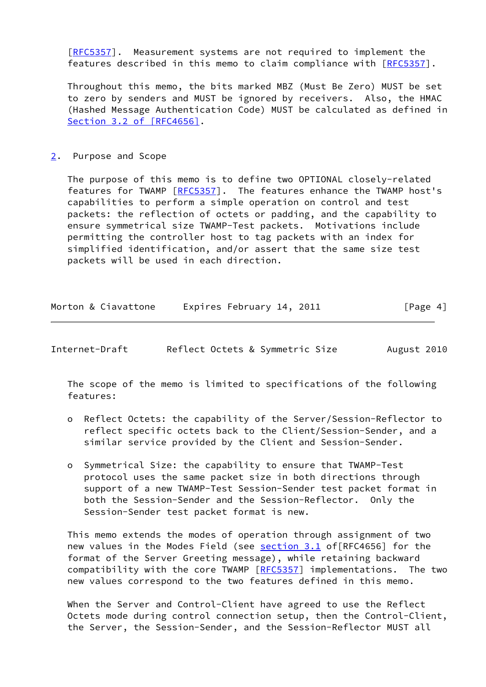[\[RFC5357](https://datatracker.ietf.org/doc/pdf/rfc5357)]. Measurement systems are not required to implement the features described in this memo to claim compliance with [\[RFC5357](https://datatracker.ietf.org/doc/pdf/rfc5357)].

 Throughout this memo, the bits marked MBZ (Must Be Zero) MUST be set to zero by senders and MUST be ignored by receivers. Also, the HMAC (Hashed Message Authentication Code) MUST be calculated as defined in Section [3.2 of \[RFC4656\]](https://datatracker.ietf.org/doc/pdf/rfc4656#section-3.2).

# <span id="page-4-0"></span>[2](#page-4-0). Purpose and Scope

 The purpose of this memo is to define two OPTIONAL closely-related features for TWAMP [[RFC5357\]](https://datatracker.ietf.org/doc/pdf/rfc5357). The features enhance the TWAMP host's capabilities to perform a simple operation on control and test packets: the reflection of octets or padding, and the capability to ensure symmetrical size TWAMP-Test packets. Motivations include permitting the controller host to tag packets with an index for simplified identification, and/or assert that the same size test packets will be used in each direction.

| Morton & Ciavattone | Expires February 14, 2011 | [Page 4] |
|---------------------|---------------------------|----------|
|                     |                           |          |

<span id="page-4-1"></span>

| Internet-Draft | Reflect Octets & Symmetric Size | August 2010 |
|----------------|---------------------------------|-------------|
|----------------|---------------------------------|-------------|

 The scope of the memo is limited to specifications of the following features:

- o Reflect Octets: the capability of the Server/Session-Reflector to reflect specific octets back to the Client/Session-Sender, and a similar service provided by the Client and Session-Sender.
- o Symmetrical Size: the capability to ensure that TWAMP-Test protocol uses the same packet size in both directions through support of a new TWAMP-Test Session-Sender test packet format in both the Session-Sender and the Session-Reflector. Only the Session-Sender test packet format is new.

 This memo extends the modes of operation through assignment of two new values in the Modes Field (see [section 3.1](#page-5-1) of[RFC4656] for the format of the Server Greeting message), while retaining backward compatibility with the core TWAMP [[RFC5357](https://datatracker.ietf.org/doc/pdf/rfc5357)] implementations. The two new values correspond to the two features defined in this memo.

 When the Server and Control-Client have agreed to use the Reflect Octets mode during control connection setup, then the Control-Client, the Server, the Session-Sender, and the Session-Reflector MUST all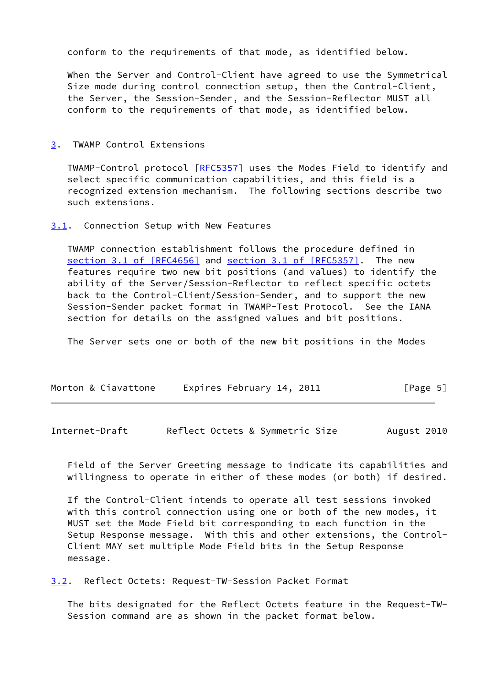conform to the requirements of that mode, as identified below.

 When the Server and Control-Client have agreed to use the Symmetrical Size mode during control connection setup, then the Control-Client, the Server, the Session-Sender, and the Session-Reflector MUST all conform to the requirements of that mode, as identified below.

### <span id="page-5-0"></span>[3](#page-5-0). TWAMP Control Extensions

 TWAMP-Control protocol [\[RFC5357](https://datatracker.ietf.org/doc/pdf/rfc5357)] uses the Modes Field to identify and select specific communication capabilities, and this field is a recognized extension mechanism. The following sections describe two such extensions.

### <span id="page-5-1"></span>[3.1](#page-5-1). Connection Setup with New Features

 TWAMP connection establishment follows the procedure defined in section [3.1 of \[RFC4656\]](https://datatracker.ietf.org/doc/pdf/rfc4656#section-3.1) and section [3.1 of \[RFC5357\]](https://datatracker.ietf.org/doc/pdf/rfc5357#section-3.1). The new features require two new bit positions (and values) to identify the ability of the Server/Session-Reflector to reflect specific octets back to the Control-Client/Session-Sender, and to support the new Session-Sender packet format in TWAMP-Test Protocol. See the IANA section for details on the assigned values and bit positions.

The Server sets one or both of the new bit positions in the Modes

| Morton & Ciavattone | Expires February 14, 2011 | [Page 5] |
|---------------------|---------------------------|----------|
|---------------------|---------------------------|----------|

<span id="page-5-3"></span>Internet-Draft Reflect Octets & Symmetric Size August 2010

 Field of the Server Greeting message to indicate its capabilities and willingness to operate in either of these modes (or both) if desired.

 If the Control-Client intends to operate all test sessions invoked with this control connection using one or both of the new modes, it MUST set the Mode Field bit corresponding to each function in the Setup Response message. With this and other extensions, the Control- Client MAY set multiple Mode Field bits in the Setup Response message.

<span id="page-5-2"></span>[3.2](#page-5-2). Reflect Octets: Request-TW-Session Packet Format

 The bits designated for the Reflect Octets feature in the Request-TW- Session command are as shown in the packet format below.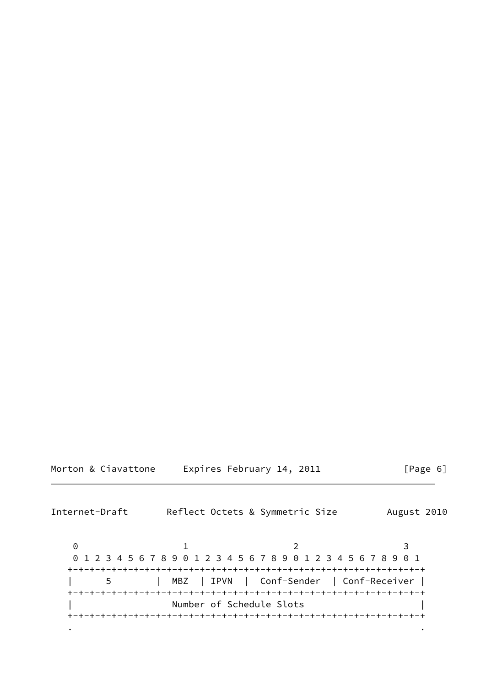| Morton & Ciavattone | Expires February 14, 201 |  |  |  |
|---------------------|--------------------------|--|--|--|
|---------------------|--------------------------|--|--|--|

Internet-Draft Reflect Octets & Symmetric Size August 2010 0 1 2 3 0 1 2 3 4 5 6 7 8 9 0 1 2 3 4 5 6 7 8 9 0 1 2 3 4 5 6 7 8 9 0 1 +-+-+-+-+-+-+-+-+-+-+-+-+-+-+-+-+-+-+-+-+-+-+-+-+-+-+-+-+-+-+-+-+ | 5 | MBZ | IPVN | Conf-Sender | Conf-Receiver | +-+-+-+-+-+-+-+-+-+-+-+-+-+-+-+-+-+-+-+-+-+-+-+-+-+-+-+-+-+-+-+-+

 | Number of Schedule Slots | +-+-+-+-+-+-+-+-+-+-+-+-+-+-+-+-+-+-+-+-+-+-+-+-+-+-+-+-+-+-+-+-+ . .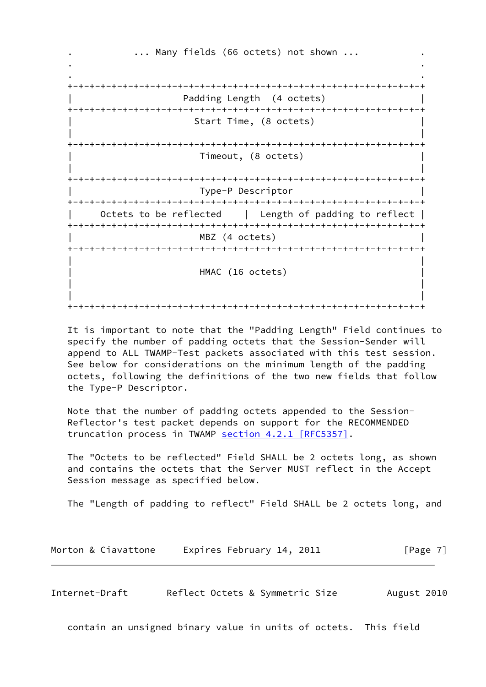... Many fields (66 octets) not shown ... . . . . +-+-+-+-+-+-+-+-+-+-+-+-+-+-+-+-+-+-+-+-+-+-+-+-+-+-+-+-+-+-+-+-+ Padding Length (4 octets) +-+-+-+-+-+-+-+-+-+-+-+-+-+-+-+-+-+-+-+-+-+-+-+-+-+-+-+-+-+-+-+-+ Start Time, (8 octets) | | +-+-+-+-+-+-+-+-+-+-+-+-+-+-+-+-+-+-+-+-+-+-+-+-+-+-+-+-+-+-+-+-+ | Timeout, (8 octets) | | | +-+-+-+-+-+-+-+-+-+-+-+-+-+-+-+-+-+-+-+-+-+-+-+-+-+-+-+-+-+-+-+-+ | Type-P Descriptor | +-+-+-+-+-+-+-+-+-+-+-+-+-+-+-+-+-+-+-+-+-+-+-+-+-+-+-+-+-+-+-+-+ Octets to be reflected | Length of padding to reflect | +-+-+-+-+-+-+-+-+-+-+-+-+-+-+-+-+-+-+-+-+-+-+-+-+-+-+-+-+-+-+-+-+ MBZ (4 octets) +-+-+-+-+-+-+-+-+-+-+-+-+-+-+-+-+-+-+-+-+-+-+-+-+-+-+-+-+-+-+-+-+ | | | HMAC (16 octets) | | | | | +-+-+-+-+-+-+-+-+-+-+-+-+-+-+-+-+-+-+-+-+-+-+-+-+-+-+-+-+-+-+-+-+

 It is important to note that the "Padding Length" Field continues to specify the number of padding octets that the Session-Sender will append to ALL TWAMP-Test packets associated with this test session. See below for considerations on the minimum length of the padding octets, following the definitions of the two new fields that follow the Type-P Descriptor.

 Note that the number of padding octets appended to the Session- Reflector's test packet depends on support for the RECOMMENDED truncation process in TWAMP section [4.2.1 \[RFC5357\].](https://datatracker.ietf.org/doc/pdf/rfc5357#section-4.2.1)

 The "Octets to be reflected" Field SHALL be 2 octets long, as shown and contains the octets that the Server MUST reflect in the Accept Session message as specified below.

The "Length of padding to reflect" Field SHALL be 2 octets long, and

| Morton & Ciavattone | Expires February 14, 2011 | [Page 7] |
|---------------------|---------------------------|----------|
|---------------------|---------------------------|----------|

<span id="page-7-0"></span>Internet-Draft Reflect Octets & Symmetric Size August 2010

contain an unsigned binary value in units of octets. This field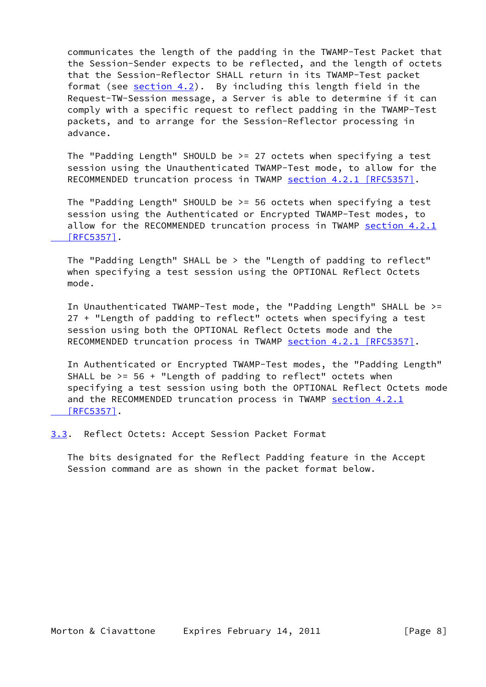communicates the length of the padding in the TWAMP-Test Packet that the Session-Sender expects to be reflected, and the length of octets that the Session-Reflector SHALL return in its TWAMP-Test packet format (see [section 4.2\)](#page-16-0). By including this length field in the Request-TW-Session message, a Server is able to determine if it can comply with a specific request to reflect padding in the TWAMP-Test packets, and to arrange for the Session-Reflector processing in advance.

 The "Padding Length" SHOULD be >= 27 octets when specifying a test session using the Unauthenticated TWAMP-Test mode, to allow for the RECOMMENDED truncation process in TWAMP section [4.2.1 \[RFC5357\]](https://datatracker.ietf.org/doc/pdf/rfc5357#section-4.2.1).

 The "Padding Length" SHOULD be >= 56 octets when specifying a test session using the Authenticated or Encrypted TWAMP-Test modes, to allow for the RECOMMENDED truncation process in TWAMP [section](https://datatracker.ietf.org/doc/pdf/rfc5357#section-4.2.1) 4.2.1  [\[RFC5357\]](https://datatracker.ietf.org/doc/pdf/rfc5357#section-4.2.1).

 The "Padding Length" SHALL be > the "Length of padding to reflect" when specifying a test session using the OPTIONAL Reflect Octets mode.

 In Unauthenticated TWAMP-Test mode, the "Padding Length" SHALL be >= 27 + "Length of padding to reflect" octets when specifying a test session using both the OPTIONAL Reflect Octets mode and the RECOMMENDED truncation process in TWAMP section [4.2.1 \[RFC5357\]](https://datatracker.ietf.org/doc/pdf/rfc5357#section-4.2.1).

 In Authenticated or Encrypted TWAMP-Test modes, the "Padding Length" SHALL be  $>= 56 +$  "Length of padding to reflect" octets when specifying a test session using both the OPTIONAL Reflect Octets mode and the RECOMMENDED truncation process in TWAMP [section](https://datatracker.ietf.org/doc/pdf/rfc5357#section-4.2.1) 4.2.1  [\[RFC5357\]](https://datatracker.ietf.org/doc/pdf/rfc5357#section-4.2.1).

<span id="page-8-0"></span>[3.3](#page-8-0). Reflect Octets: Accept Session Packet Format

 The bits designated for the Reflect Padding feature in the Accept Session command are as shown in the packet format below.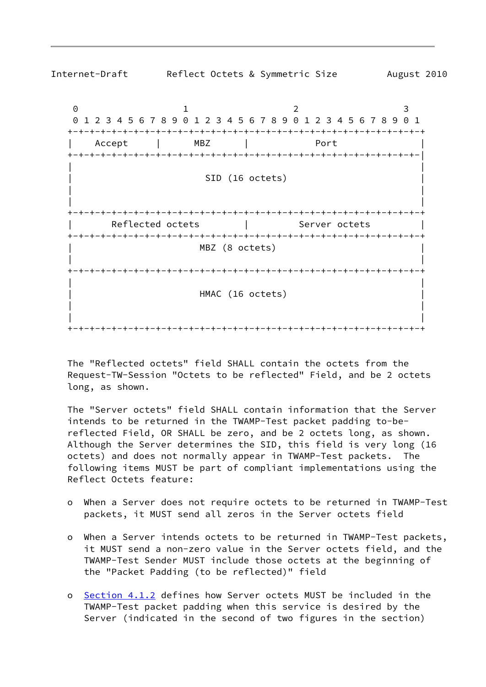

 The "Reflected octets" field SHALL contain the octets from the Request-TW-Session "Octets to be reflected" Field, and be 2 octets long, as shown.

 The "Server octets" field SHALL contain information that the Server intends to be returned in the TWAMP-Test packet padding to-be reflected Field, OR SHALL be zero, and be 2 octets long, as shown. Although the Server determines the SID, this field is very long (16 octets) and does not normally appear in TWAMP-Test packets. The following items MUST be part of compliant implementations using the Reflect Octets feature:

- o When a Server does not require octets to be returned in TWAMP-Test packets, it MUST send all zeros in the Server octets field
- o When a Server intends octets to be returned in TWAMP-Test packets, it MUST send a non-zero value in the Server octets field, and the TWAMP-Test Sender MUST include those octets at the beginning of the "Packet Padding (to be reflected)" field
- o [Section 4.1.2](#page-11-0) defines how Server octets MUST be included in the TWAMP-Test packet padding when this service is desired by the Server (indicated in the second of two figures in the section)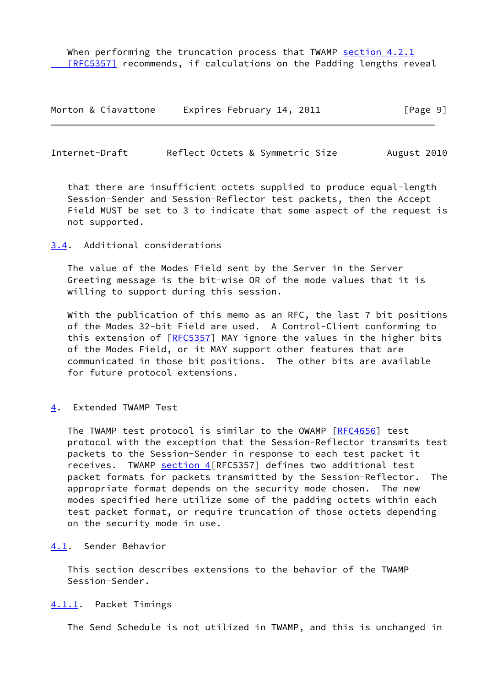When performing the truncation process that TWAMP [section](https://datatracker.ietf.org/doc/pdf/rfc5357#section-4.2.1) 4.2.1 [RFC5357] recommends, if calculations on the Padding lengths reveal

| Morton & Ciavattone | Expires February 14, 2011 | [Page 9] |
|---------------------|---------------------------|----------|
|---------------------|---------------------------|----------|

<span id="page-10-1"></span>Internet-Draft Reflect Octets & Symmetric Size August 2010

 that there are insufficient octets supplied to produce equal-length Session-Sender and Session-Reflector test packets, then the Accept Field MUST be set to 3 to indicate that some aspect of the request is not supported.

<span id="page-10-0"></span>[3.4](#page-10-0). Additional considerations

 The value of the Modes Field sent by the Server in the Server Greeting message is the bit-wise OR of the mode values that it is willing to support during this session.

With the publication of this memo as an RFC, the last 7 bit positions of the Modes 32-bit Field are used. A Control-Client conforming to this extension of [[RFC5357](https://datatracker.ietf.org/doc/pdf/rfc5357)] MAY ignore the values in the higher bits of the Modes Field, or it MAY support other features that are communicated in those bit positions. The other bits are available for future protocol extensions.

<span id="page-10-2"></span>[4](#page-10-2). Extended TWAMP Test

The TWAMP test protocol is similar to the OWAMP [\[RFC4656](https://datatracker.ietf.org/doc/pdf/rfc4656)] test protocol with the exception that the Session-Reflector transmits test packets to the Session-Sender in response to each test packet it receives. TWAMP [section 4](#page-10-2) [RFC5357] defines two additional test packet formats for packets transmitted by the Session-Reflector. The appropriate format depends on the security mode chosen. The new modes specified here utilize some of the padding octets within each test packet format, or require truncation of those octets depending on the security mode in use.

<span id="page-10-3"></span>[4.1](#page-10-3). Sender Behavior

 This section describes extensions to the behavior of the TWAMP Session-Sender.

#### <span id="page-10-4"></span>[4.1.1](#page-10-4). Packet Timings

The Send Schedule is not utilized in TWAMP, and this is unchanged in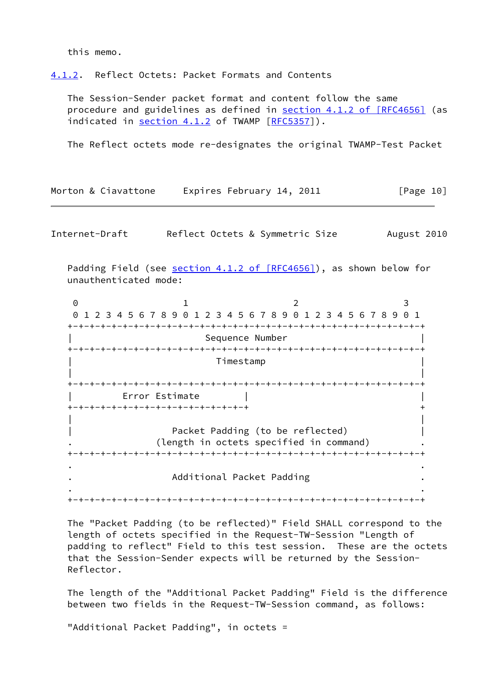this memo.

<span id="page-11-0"></span>[4.1.2](#page-11-0). Reflect Octets: Packet Formats and Contents

 The Session-Sender packet format and content follow the same procedure and guidelines as defined in section [4.1.2 of \[RFC4656\]](https://datatracker.ietf.org/doc/pdf/rfc4656#section-4.1.2) (as indicated in [section 4.1.2](#page-11-0) of TWAMP [\[RFC5357](https://datatracker.ietf.org/doc/pdf/rfc5357)]).

The Reflect octets mode re-designates the original TWAMP-Test Packet

| Morton & Ciavattone                                  |                           | Expires February 14, 2011                                                                           | [Page 10]   |
|------------------------------------------------------|---------------------------|-----------------------------------------------------------------------------------------------------|-------------|
| Internet-Draft                                       |                           | Reflect Octets & Symmetric Size                                                                     | August 2010 |
| unauthenticated mode:                                |                           | Padding Field (see section 4.1.2 of [RFC4656]), as shown below for                                  |             |
| $\Theta$<br>-+-+-+-+-+-+-+-+-+-+-+-+-+-+-+-+         | 1.                        | 2<br>0 1 2 3 4 5 6 7 8 9 0 1 2 3 4 5 6 7 8 9 0 1 2 3 4 5 6 7 8 9 0 1<br>-+-+-+-+-+-+-+-+-+-+-+-+-+- | 3           |
|                                                      | Sequence Number           |                                                                                                     |             |
|                                                      | Timestamp                 |                                                                                                     |             |
| Error Estimate<br>+-+-+-+-+-+-+-+-+-+-+-+-+-+-+-+-+- |                           |                                                                                                     |             |
|                                                      |                           | Packet Padding (to be reflected)<br>(length in octets specified in command)                         |             |
|                                                      | Additional Packet Padding |                                                                                                     |             |
|                                                      |                           |                                                                                                     |             |

 The "Packet Padding (to be reflected)" Field SHALL correspond to the length of octets specified in the Request-TW-Session "Length of padding to reflect" Field to this test session. These are the octets that the Session-Sender expects will be returned by the Session- Reflector.

 The length of the "Additional Packet Padding" Field is the difference between two fields in the Request-TW-Session command, as follows:

"Additional Packet Padding", in octets =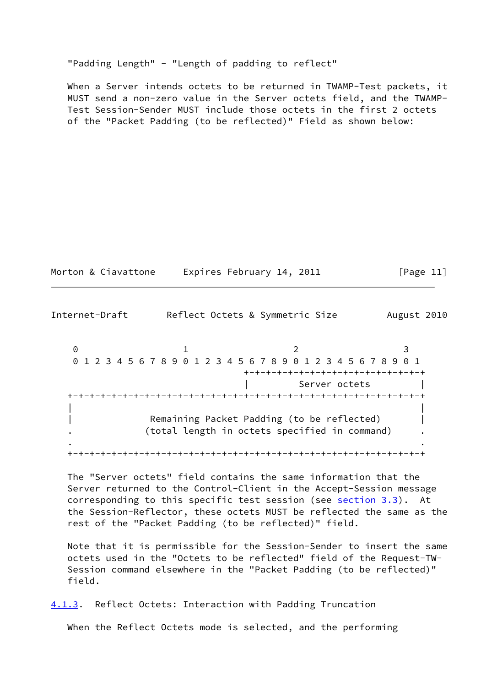"Padding Length" - "Length of padding to reflect"

 When a Server intends octets to be returned in TWAMP-Test packets, it MUST send a non-zero value in the Server octets field, and the TWAMP- Test Session-Sender MUST include those octets in the first 2 octets of the "Packet Padding (to be reflected)" Field as shown below:

| Morton & Ciavattone | Expires February 14, 2011 | [Page 11] |
|---------------------|---------------------------|-----------|
|                     |                           |           |

Internet-Draft Reflect Octets & Symmetric Size August 2010 0 1 2 3 0 1 2 3 4 5 6 7 8 9 0 1 2 3 4 5 6 7 8 9 0 1 2 3 4 5 6 7 8 9 0 1 +-+-+-+-+-+-+-+-+-+-+-+-+-+-+-+-+ Server octets +-+-+-+-+-+-+-+-+-+-+-+-+-+-+-+-+-+-+-+-+-+-+-+-+-+-+-+-+-+-+-+-+ | | Remaining Packet Padding (to be reflected) . (total length in octets specified in command) . . . +-+-+-+-+-+-+-+-+-+-+-+-+-+-+-+-+-+-+-+-+-+-+-+-+-+-+-+-+-+-+-+-+

 The "Server octets" field contains the same information that the Server returned to the Control-Client in the Accept-Session message corresponding to this specific test session (see [section 3.3](#page-8-0)). At the Session-Reflector, these octets MUST be reflected the same as the rest of the "Packet Padding (to be reflected)" field.

 Note that it is permissible for the Session-Sender to insert the same octets used in the "Octets to be reflected" field of the Request-TW- Session command elsewhere in the "Packet Padding (to be reflected)" field.

<span id="page-12-0"></span>[4.1.3](#page-12-0). Reflect Octets: Interaction with Padding Truncation

When the Reflect Octets mode is selected, and the performing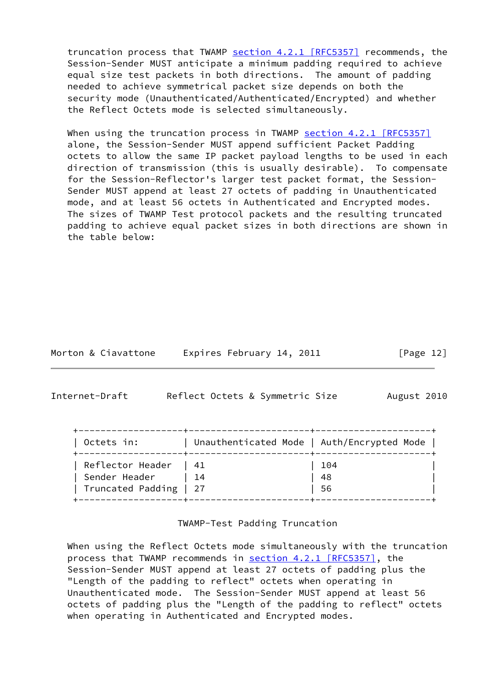truncation process that TWAMP section [4.2.1 \[RFC5357\]](https://datatracker.ietf.org/doc/pdf/rfc5357#section-4.2.1) recommends, the Session-Sender MUST anticipate a minimum padding required to achieve equal size test packets in both directions. The amount of padding needed to achieve symmetrical packet size depends on both the security mode (Unauthenticated/Authenticated/Encrypted) and whether the Reflect Octets mode is selected simultaneously.

When using the truncation process in TWAMP section [4.2.1 \[RFC5357\]](https://datatracker.ietf.org/doc/pdf/rfc5357#section-4.2.1) alone, the Session-Sender MUST append sufficient Packet Padding octets to allow the same IP packet payload lengths to be used in each direction of transmission (this is usually desirable). To compensate for the Session-Reflector's larger test packet format, the Session- Sender MUST append at least 27 octets of padding in Unauthenticated mode, and at least 56 octets in Authenticated and Encrypted modes. The sizes of TWAMP Test protocol packets and the resulting truncated padding to achieve equal packet sizes in both directions are shown in the table below:

| Morton & Ciavattone | Expires February 14, 2011 | [Page 12] |
|---------------------|---------------------------|-----------|
|---------------------|---------------------------|-----------|

<span id="page-13-0"></span>Internet-Draft Reflect Octets & Symmetric Size August 2010

| Octets in:             | Unauthenticated Mode   Auth/Encrypted Mode |     |
|------------------------|--------------------------------------------|-----|
| Reflector Header   41  |                                            | 104 |
| Sender Header          | $\vert$ 14                                 | 48  |
| Truncated Padding   27 |                                            | 56  |

### TWAMP-Test Padding Truncation

 When using the Reflect Octets mode simultaneously with the truncation process that TWAMP recommends in section [4.2.1 \[RFC5357\]](https://datatracker.ietf.org/doc/pdf/rfc5357#section-4.2.1), the Session-Sender MUST append at least 27 octets of padding plus the "Length of the padding to reflect" octets when operating in Unauthenticated mode. The Session-Sender MUST append at least 56 octets of padding plus the "Length of the padding to reflect" octets when operating in Authenticated and Encrypted modes.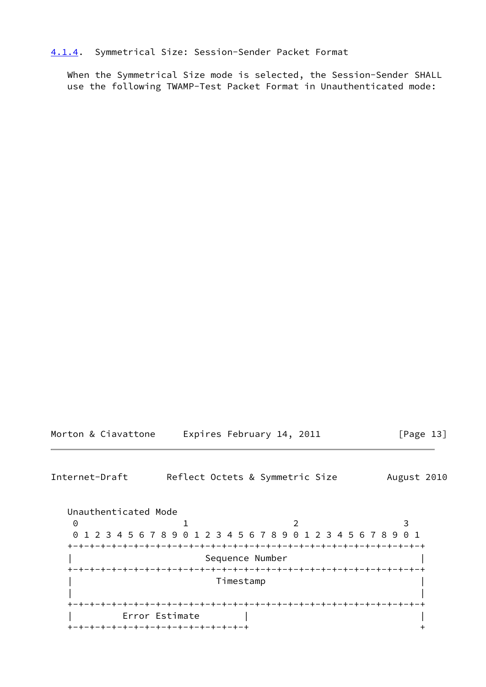### <span id="page-14-0"></span>[4.1.4](#page-14-0). Symmetrical Size: Session-Sender Packet Format

 When the Symmetrical Size mode is selected, the Session-Sender SHALL use the following TWAMP-Test Packet Format in Unauthenticated mode:

| Morton & Ciavattone | Expires February 14, 2011 | [Page 13] |
|---------------------|---------------------------|-----------|
|---------------------|---------------------------|-----------|

<span id="page-14-1"></span>Internet-Draft Reflect Octets & Symmetric Size August 2010

 Unauthenticated Mode 0 1 2 3 0 1 2 3 4 5 6 7 8 9 0 1 2 3 4 5 6 7 8 9 0 1 2 3 4 5 6 7 8 9 0 1 +-+-+-+-+-+-+-+-+-+-+-+-+-+-+-+-+-+-+-+-+-+-+-+-+-+-+-+-+-+-+-+-+ | Sequence Number | +-+-+-+-+-+-+-+-+-+-+-+-+-+-+-+-+-+-+-+-+-+-+-+-+-+-+-+-+-+-+-+-+ | Timestamp | | | +-+-+-+-+-+-+-+-+-+-+-+-+-+-+-+-+-+-+-+-+-+-+-+-+-+-+-+-+-+-+-+-+ | Error Estimate | | +-+-+-+-+-+-+-+-+-+-+-+-+-+-+-+-+ +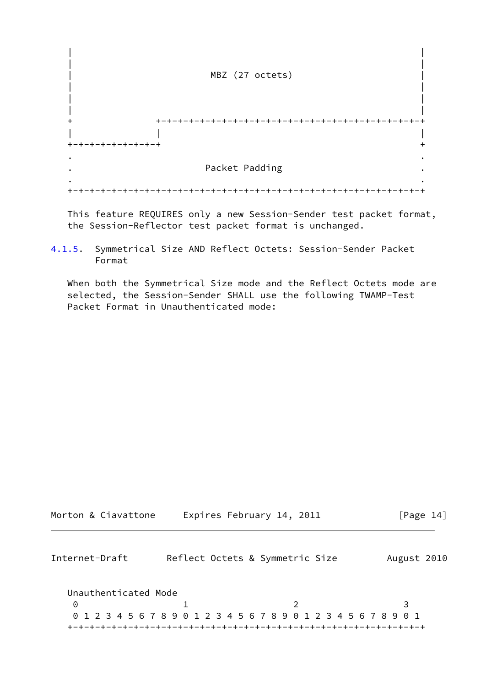

 This feature REQUIRES only a new Session-Sender test packet format, the Session-Reflector test packet format is unchanged.

<span id="page-15-1"></span>[4.1.5](#page-15-1). Symmetrical Size AND Reflect Octets: Session-Sender Packet Format

 When both the Symmetrical Size mode and the Reflect Octets mode are selected, the Session-Sender SHALL use the following TWAMP-Test Packet Format in Unauthenticated mode:

<span id="page-15-0"></span>

| Morton & Ciavattone  | Expires February 14, 2011                                       | [Page $14$ ] |
|----------------------|-----------------------------------------------------------------|--------------|
| Internet-Draft       | Reflect Octets & Symmetric Size                                 | August 2010  |
| Unauthenticated Mode |                                                                 |              |
| 0                    |                                                                 |              |
|                      | 0 1 2 3 4 5 6 7 8 9 0 1 2 3 4 5 6 7 8 9 0 1 2 3 4 5 6 7 8 9 0 1 |              |
|                      |                                                                 |              |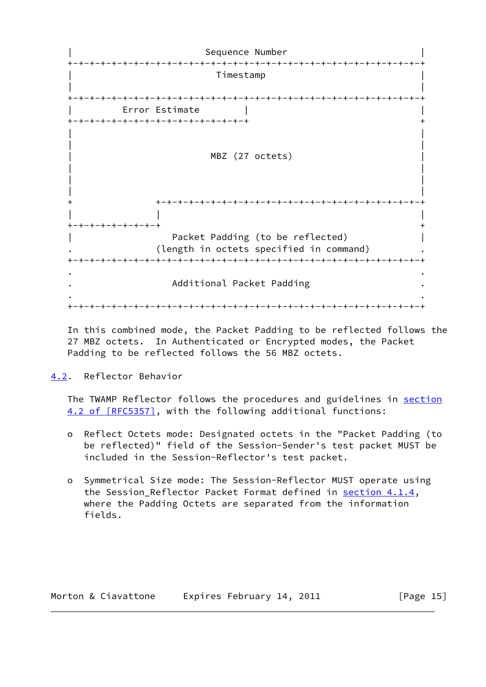Sequence Number +-+-+-+-+-+-+-+-+-+-+-+-+-+-+-+-+-+-+-+-+-+-+-+-+-+-+-+-+-+-+-+-+ | Timestamp | | | +-+-+-+-+-+-+-+-+-+-+-+-+-+-+-+-+-+-+-+-+-+-+-+-+-+-+-+-+-+-+-+-+ Error Estimate +-+-+-+-+-+-+-+-+-+-+-+-+-+-+-+-+ + | | | | MBZ (27 octets) | | | | | | + +-+-+-+-+-+-+-+-+-+-+-+-+-+-+-+-+-+-+-+-+-+-+-+-+ | | | +-+-+-+-+-+-+-+-+ + Packet Padding (to be reflected) | | (length in octets specified in command) +-+-+-+-+-+-+-+-+-+-+-+-+-+-+-+-+-+-+-+-+-+-+-+-+-+-+-+-+-+-+-+-+ . . . Additional Packet Padding . . . +-+-+-+-+-+-+-+-+-+-+-+-+-+-+-+-+-+-+-+-+-+-+-+-+-+-+-+-+-+-+-+-+

 In this combined mode, the Packet Padding to be reflected follows the 27 MBZ octets. In Authenticated or Encrypted modes, the Packet Padding to be reflected follows the 56 MBZ octets.

<span id="page-16-0"></span>[4.2](#page-16-0). Reflector Behavior

 The TWAMP Reflector follows the procedures and guidelines in [section](https://datatracker.ietf.org/doc/pdf/rfc5357#section-4.2) [4.2 of \[RFC5357\]](https://datatracker.ietf.org/doc/pdf/rfc5357#section-4.2), with the following additional functions:

- o Reflect Octets mode: Designated octets in the "Packet Padding (to be reflected)" field of the Session-Sender's test packet MUST be included in the Session-Reflector's test packet.
- o Symmetrical Size mode: The Session-Reflector MUST operate using the Session\_Reflector Packet Format defined in [section 4.1.4,](#page-14-0) where the Padding Octets are separated from the information fields.

| Morton & Ciavattone | Expires February 14, 2011 | [Page $15$ ] |
|---------------------|---------------------------|--------------|
|---------------------|---------------------------|--------------|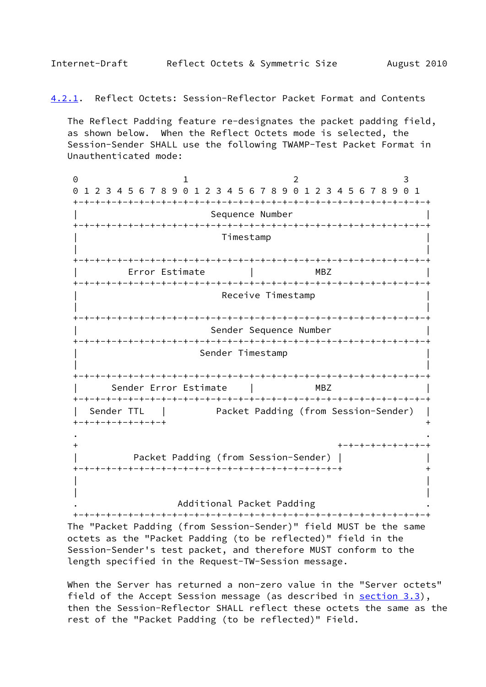<span id="page-17-1"></span><span id="page-17-0"></span>[4.2.1](#page-17-1). Reflect Octets: Session-Reflector Packet Format and Contents

 The Reflect Padding feature re-designates the packet padding field, as shown below. When the Reflect Octets mode is selected, the Session-Sender SHALL use the following TWAMP-Test Packet Format in Unauthenticated mode:

0 1 2 3 0 1 2 3 4 5 6 7 8 9 0 1 2 3 4 5 6 7 8 9 0 1 2 3 4 5 6 7 8 9 0 1 +-+-+-+-+-+-+-+-+-+-+-+-+-+-+-+-+-+-+-+-+-+-+-+-+-+-+-+-+-+-+-+-+ Sequence Number +-+-+-+-+-+-+-+-+-+-+-+-+-+-+-+-+-+-+-+-+-+-+-+-+-+-+-+-+-+-+-+-+ | Timestamp | | | +-+-+-+-+-+-+-+-+-+-+-+-+-+-+-+-+-+-+-+-+-+-+-+-+-+-+-+-+-+-+-+-+ | Error Estimate | MBZ | +-+-+-+-+-+-+-+-+-+-+-+-+-+-+-+-+-+-+-+-+-+-+-+-+-+-+-+-+-+-+-+-+ Receive Timestamp | | +-+-+-+-+-+-+-+-+-+-+-+-+-+-+-+-+-+-+-+-+-+-+-+-+-+-+-+-+-+-+-+-+ Sender Sequence Number +-+-+-+-+-+-+-+-+-+-+-+-+-+-+-+-+-+-+-+-+-+-+-+-+-+-+-+-+-+-+-+-+ Sender Timestamp | | +-+-+-+-+-+-+-+-+-+-+-+-+-+-+-+-+-+-+-+-+-+-+-+-+-+-+-+-+-+-+-+-+ | Sender Error Estimate | MBZ | +-+-+-+-+-+-+-+-+-+-+-+-+-+-+-+-+-+-+-+-+-+-+-+-+-+-+-+-+-+-+-+-+ | Sender TTL | Packet Padding (from Session-Sender) | +-+-+-+-+-+-+-+-+ + . . + +-+-+-+-+-+-+-+-+ | Packet Padding (from Session-Sender) | | +-+-+-+-+-+-+-+-+-+-+-+-+-+-+-+-+-+-+-+-+-+-+-+-+ + | | | |

. Additional Packet Padding .

 +-+-+-+-+-+-+-+-+-+-+-+-+-+-+-+-+-+-+-+-+-+-+-+-+-+-+-+-+-+-+-+-+ The "Packet Padding (from Session-Sender)" field MUST be the same octets as the "Packet Padding (to be reflected)" field in the Session-Sender's test packet, and therefore MUST conform to the length specified in the Request-TW-Session message.

 When the Server has returned a non-zero value in the "Server octets" field of the Accept Session message (as described in [section 3.3](#page-8-0)), then the Session-Reflector SHALL reflect these octets the same as the rest of the "Packet Padding (to be reflected)" Field.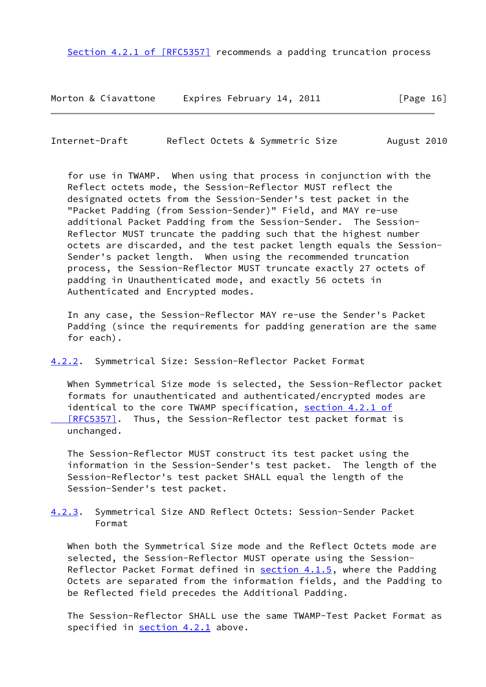Section [4.2.1 of \[RFC5357\]](https://datatracker.ietf.org/doc/pdf/rfc5357#section-4.2.1) recommends a padding truncation process

Morton & Ciavattone Expires February 14, 2011 [Page 16]

<span id="page-18-1"></span>Internet-Draft Reflect Octets & Symmetric Size August 2010

 for use in TWAMP. When using that process in conjunction with the Reflect octets mode, the Session-Reflector MUST reflect the designated octets from the Session-Sender's test packet in the "Packet Padding (from Session-Sender)" Field, and MAY re-use additional Packet Padding from the Session-Sender. The Session- Reflector MUST truncate the padding such that the highest number octets are discarded, and the test packet length equals the Session- Sender's packet length. When using the recommended truncation process, the Session-Reflector MUST truncate exactly 27 octets of padding in Unauthenticated mode, and exactly 56 octets in Authenticated and Encrypted modes.

 In any case, the Session-Reflector MAY re-use the Sender's Packet Padding (since the requirements for padding generation are the same for each).

<span id="page-18-0"></span>[4.2.2](#page-18-0). Symmetrical Size: Session-Reflector Packet Format

 When Symmetrical Size mode is selected, the Session-Reflector packet formats for unauthenticated and authenticated/encrypted modes are identical to the core TWAMP specification, section [4.2.1 of](https://datatracker.ietf.org/doc/pdf/rfc5357#section-4.2.1)  [\[RFC5357\]](https://datatracker.ietf.org/doc/pdf/rfc5357#section-4.2.1). Thus, the Session-Reflector test packet format is unchanged.

 The Session-Reflector MUST construct its test packet using the information in the Session-Sender's test packet. The length of the Session-Reflector's test packet SHALL equal the length of the Session-Sender's test packet.

<span id="page-18-2"></span>[4.2.3](#page-18-2). Symmetrical Size AND Reflect Octets: Session-Sender Packet Format

 When both the Symmetrical Size mode and the Reflect Octets mode are selected, the Session-Reflector MUST operate using the Session- Reflector Packet Format defined in [section 4.1.5,](#page-15-1) where the Padding Octets are separated from the information fields, and the Padding to be Reflected field precedes the Additional Padding.

 The Session-Reflector SHALL use the same TWAMP-Test Packet Format as specified in [section 4.2.1](#page-17-1) above.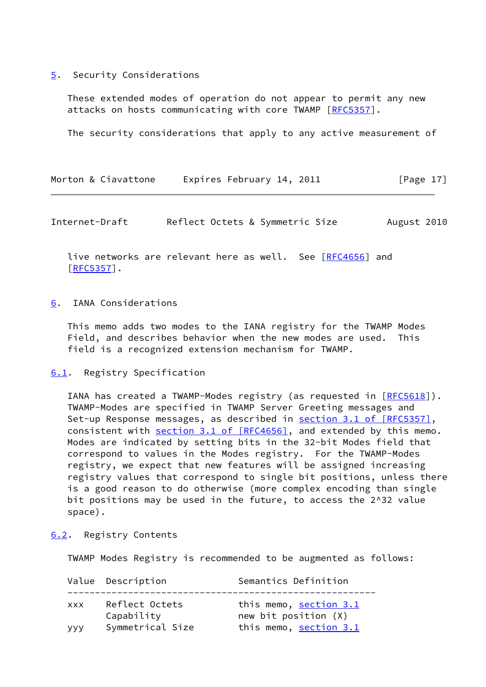#### <span id="page-19-0"></span>[5](#page-19-0). Security Considerations

 These extended modes of operation do not appear to permit any new attacks on hosts communicating with core TWAMP [\[RFC5357](https://datatracker.ietf.org/doc/pdf/rfc5357)].

The security considerations that apply to any active measurement of

| Morton & Ciavattone | Expires February 14, 2011 | [Page 17] |
|---------------------|---------------------------|-----------|
|---------------------|---------------------------|-----------|

<span id="page-19-2"></span>Internet-Draft Reflect Octets & Symmetric Size August 2010

live networks are relevant here as well. See [[RFC4656](https://datatracker.ietf.org/doc/pdf/rfc4656)] and [\[RFC5357](https://datatracker.ietf.org/doc/pdf/rfc5357)].

#### <span id="page-19-1"></span>[6](#page-19-1). IANA Considerations

 This memo adds two modes to the IANA registry for the TWAMP Modes Field, and describes behavior when the new modes are used. This field is a recognized extension mechanism for TWAMP.

#### <span id="page-19-3"></span>[6.1](#page-19-3). Registry Specification

IANA has created a TWAMP-Modes registry (as requested in  $[REC5618]$ ). TWAMP-Modes are specified in TWAMP Server Greeting messages and Set-up Response messages, as described in section [3.1 of \[RFC5357\]](https://datatracker.ietf.org/doc/pdf/rfc5357#section-3.1), consistent with section [3.1 of \[RFC4656\]](https://datatracker.ietf.org/doc/pdf/rfc4656#section-3.1), and extended by this memo. Modes are indicated by setting bits in the 32-bit Modes field that correspond to values in the Modes registry. For the TWAMP-Modes registry, we expect that new features will be assigned increasing registry values that correspond to single bit positions, unless there is a good reason to do otherwise (more complex encoding than single bit positions may be used in the future, to access the 2^32 value space).

# <span id="page-19-4"></span>[6.2](#page-19-4). Registry Contents

TWAMP Modes Registry is recommended to be augmented as follows:

|            | Value Description            | Semantics Definition                                  |
|------------|------------------------------|-------------------------------------------------------|
| <b>XXX</b> | Reflect Octets<br>Capability | this memo, <u>section 3.1</u><br>new bit position (X) |
| <b>VVV</b> | Symmetrical Size             | this memo, section 3.1                                |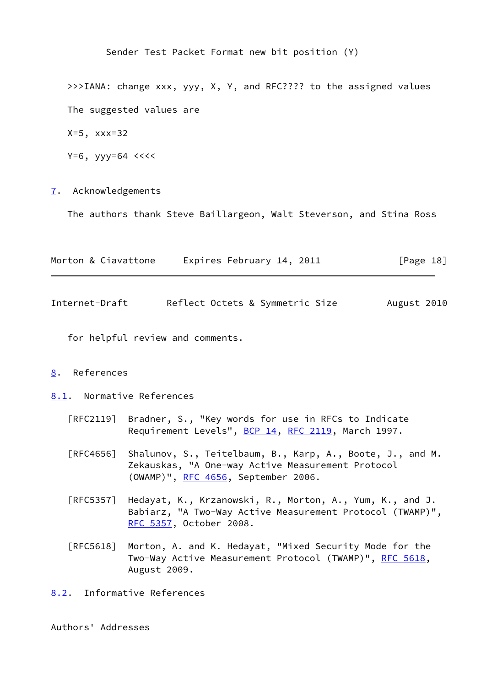Sender Test Packet Format new bit position (Y) >>>IANA: change xxx, yyy, X, Y, and RFC???? to the assigned values The suggested values are X=5, xxx=32  $Y=6$ ,  $yyy=64$  <<<<

<span id="page-20-0"></span>[7](#page-20-0). Acknowledgements

The authors thank Steve Baillargeon, Walt Steverson, and Stina Ross

<span id="page-20-2"></span>

| Morton & Ciavattone | Expires February 14, 2011       | $\lceil \text{Page 18} \rceil$ |
|---------------------|---------------------------------|--------------------------------|
| Internet-Draft      | Reflect Octets & Symmetric Size | August 2010                    |

for helpful review and comments.

### <span id="page-20-1"></span>[8](#page-20-1). References

<span id="page-20-3"></span>[8.1](#page-20-3). Normative References

- [RFC2119] Bradner, S., "Key words for use in RFCs to Indicate Requirement Levels", [BCP 14](https://datatracker.ietf.org/doc/pdf/bcp14), [RFC 2119](https://datatracker.ietf.org/doc/pdf/rfc2119), March 1997.
- [RFC4656] Shalunov, S., Teitelbaum, B., Karp, A., Boote, J., and M. Zekauskas, "A One-way Active Measurement Protocol (OWAMP)", [RFC 4656](https://datatracker.ietf.org/doc/pdf/rfc4656), September 2006.
- [RFC5357] Hedayat, K., Krzanowski, R., Morton, A., Yum, K., and J. Babiarz, "A Two-Way Active Measurement Protocol (TWAMP)", [RFC 5357,](https://datatracker.ietf.org/doc/pdf/rfc5357) October 2008.
- [RFC5618] Morton, A. and K. Hedayat, "Mixed Security Mode for the Two-Way Active Measurement Protocol (TWAMP)", [RFC 5618](https://datatracker.ietf.org/doc/pdf/rfc5618), August 2009.
- <span id="page-20-4"></span>[8.2](#page-20-4). Informative References

Authors' Addresses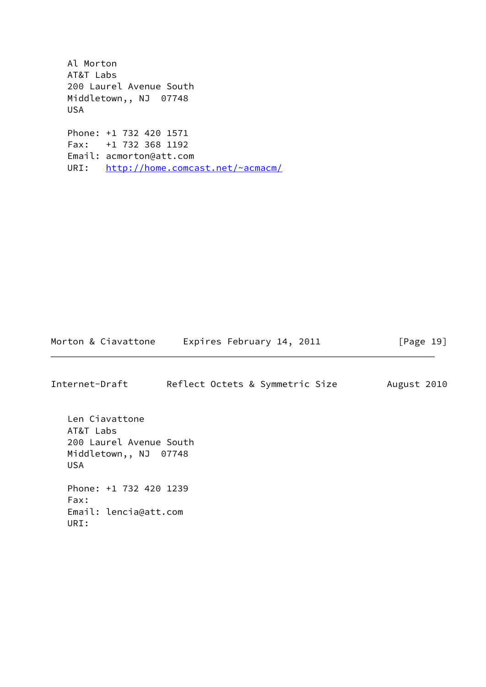Al Morton AT&T Labs 200 Laurel Avenue South Middletown,, NJ 07748 USA Phone: +1 732 420 1571 Fax: +1 732 368 1192 Email: acmorton@att.com URI: <http://home.comcast.net/~acmacm/>

Morton & Ciavattone Expires February 14, 2011 [Page 19]

Internet-Draft Reflect Octets & Symmetric Size August 2010 Len Ciavattone AT&T Labs 200 Laurel Avenue South Middletown,, NJ 07748 USA Phone: +1 732 420 1239 Fax: Email: lencia@att.com URI: